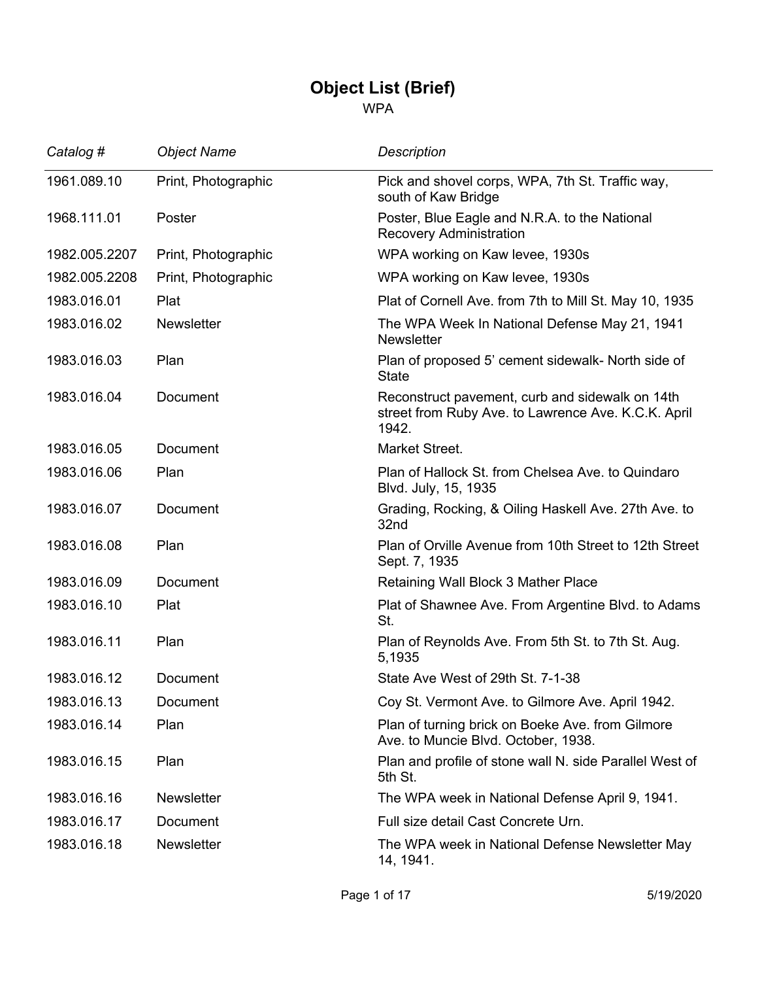## **Object List (Brief)**

WPA

| Catalog #     | <b>Object Name</b>  | <b>Description</b>                                                                                              |
|---------------|---------------------|-----------------------------------------------------------------------------------------------------------------|
| 1961.089.10   | Print, Photographic | Pick and shovel corps, WPA, 7th St. Traffic way,<br>south of Kaw Bridge                                         |
| 1968.111.01   | Poster              | Poster, Blue Eagle and N.R.A. to the National<br>Recovery Administration                                        |
| 1982.005.2207 | Print, Photographic | WPA working on Kaw levee, 1930s                                                                                 |
| 1982.005.2208 | Print, Photographic | WPA working on Kaw levee, 1930s                                                                                 |
| 1983.016.01   | Plat                | Plat of Cornell Ave. from 7th to Mill St. May 10, 1935                                                          |
| 1983.016.02   | <b>Newsletter</b>   | The WPA Week In National Defense May 21, 1941<br><b>Newsletter</b>                                              |
| 1983.016.03   | Plan                | Plan of proposed 5' cement sidewalk- North side of<br><b>State</b>                                              |
| 1983.016.04   | Document            | Reconstruct pavement, curb and sidewalk on 14th<br>street from Ruby Ave. to Lawrence Ave. K.C.K. April<br>1942. |
| 1983.016.05   | Document            | Market Street.                                                                                                  |
| 1983.016.06   | Plan                | Plan of Hallock St. from Chelsea Ave. to Quindaro<br>Blvd. July, 15, 1935                                       |
| 1983.016.07   | Document            | Grading, Rocking, & Oiling Haskell Ave. 27th Ave. to<br>32nd                                                    |
| 1983.016.08   | Plan                | Plan of Orville Avenue from 10th Street to 12th Street<br>Sept. 7, 1935                                         |
| 1983.016.09   | Document            | Retaining Wall Block 3 Mather Place                                                                             |
| 1983.016.10   | Plat                | Plat of Shawnee Ave. From Argentine Blvd. to Adams<br>St.                                                       |
| 1983.016.11   | Plan                | Plan of Reynolds Ave. From 5th St. to 7th St. Aug.<br>5,1935                                                    |
| 1983.016.12   | Document            | State Ave West of 29th St. 7-1-38                                                                               |
| 1983.016.13   | Document            | Coy St. Vermont Ave. to Gilmore Ave. April 1942.                                                                |
| 1983.016.14   | Plan                | Plan of turning brick on Boeke Ave. from Gilmore<br>Ave. to Muncie Blvd. October, 1938.                         |
| 1983.016.15   | Plan                | Plan and profile of stone wall N. side Parallel West of<br>5th St.                                              |
| 1983.016.16   | <b>Newsletter</b>   | The WPA week in National Defense April 9, 1941.                                                                 |
| 1983.016.17   | Document            | Full size detail Cast Concrete Urn.                                                                             |
| 1983.016.18   | <b>Newsletter</b>   | The WPA week in National Defense Newsletter May<br>14, 1941.                                                    |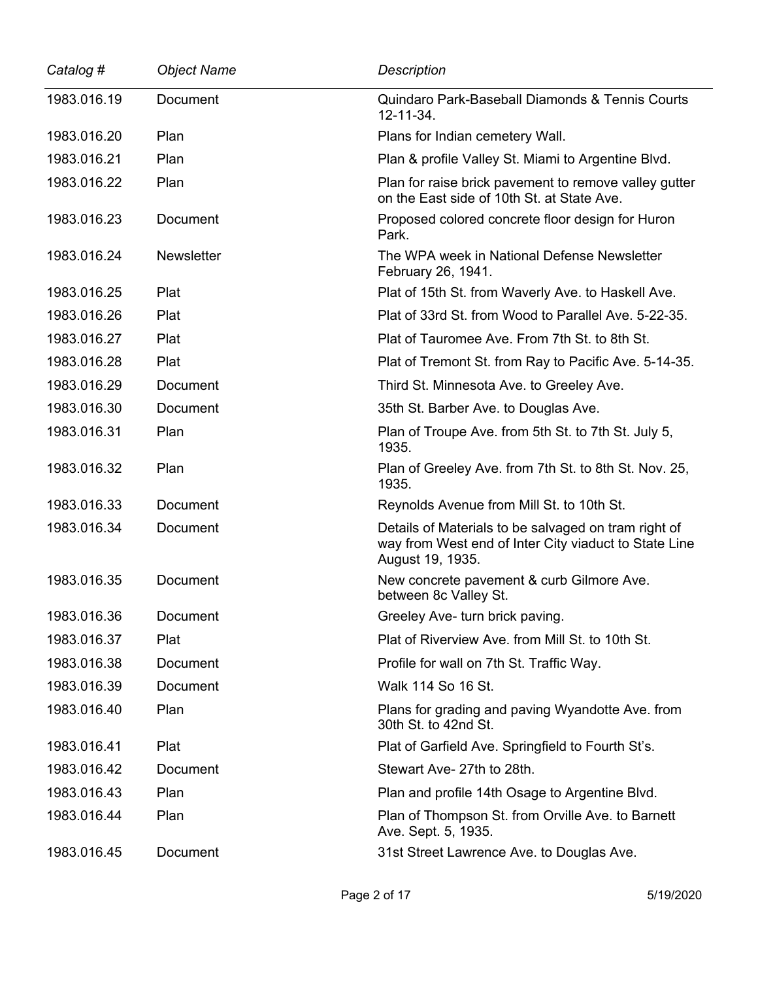| Catalog #   | <b>Object Name</b> | Description                                                                                                                       |
|-------------|--------------------|-----------------------------------------------------------------------------------------------------------------------------------|
| 1983.016.19 | <b>Document</b>    | Quindaro Park-Baseball Diamonds & Tennis Courts<br>12-11-34.                                                                      |
| 1983.016.20 | Plan               | Plans for Indian cemetery Wall.                                                                                                   |
| 1983.016.21 | Plan               | Plan & profile Valley St. Miami to Argentine Blvd.                                                                                |
| 1983.016.22 | Plan               | Plan for raise brick pavement to remove valley gutter<br>on the East side of 10th St. at State Ave.                               |
| 1983.016.23 | Document           | Proposed colored concrete floor design for Huron<br>Park.                                                                         |
| 1983.016.24 | <b>Newsletter</b>  | The WPA week in National Defense Newsletter<br>February 26, 1941.                                                                 |
| 1983.016.25 | Plat               | Plat of 15th St. from Waverly Ave. to Haskell Ave.                                                                                |
| 1983.016.26 | Plat               | Plat of 33rd St. from Wood to Parallel Ave. 5-22-35.                                                                              |
| 1983.016.27 | Plat               | Plat of Tauromee Ave. From 7th St. to 8th St.                                                                                     |
| 1983.016.28 | Plat               | Plat of Tremont St. from Ray to Pacific Ave. 5-14-35.                                                                             |
| 1983.016.29 | <b>Document</b>    | Third St. Minnesota Ave. to Greeley Ave.                                                                                          |
| 1983.016.30 | Document           | 35th St. Barber Ave. to Douglas Ave.                                                                                              |
| 1983.016.31 | Plan               | Plan of Troupe Ave. from 5th St. to 7th St. July 5,<br>1935.                                                                      |
| 1983.016.32 | Plan               | Plan of Greeley Ave. from 7th St. to 8th St. Nov. 25,<br>1935.                                                                    |
| 1983.016.33 | Document           | Reynolds Avenue from Mill St. to 10th St.                                                                                         |
| 1983.016.34 | Document           | Details of Materials to be salvaged on tram right of<br>way from West end of Inter City viaduct to State Line<br>August 19, 1935. |
| 1983.016.35 | Document           | New concrete pavement & curb Gilmore Ave.<br>between 8c Valley St.                                                                |
| 1983.016.36 | Document           | Greeley Ave- turn brick paving.                                                                                                   |
| 1983.016.37 | Plat               | Plat of Riverview Ave. from Mill St. to 10th St.                                                                                  |
| 1983.016.38 | Document           | Profile for wall on 7th St. Traffic Way.                                                                                          |
| 1983.016.39 | Document           | Walk 114 So 16 St.                                                                                                                |
| 1983.016.40 | Plan               | Plans for grading and paving Wyandotte Ave. from<br>30th St. to 42nd St.                                                          |
| 1983.016.41 | Plat               | Plat of Garfield Ave. Springfield to Fourth St's.                                                                                 |
| 1983.016.42 | <b>Document</b>    | Stewart Ave- 27th to 28th.                                                                                                        |
| 1983.016.43 | Plan               | Plan and profile 14th Osage to Argentine Blvd.                                                                                    |
| 1983.016.44 | Plan               | Plan of Thompson St. from Orville Ave. to Barnett<br>Ave. Sept. 5, 1935.                                                          |
| 1983.016.45 | Document           | 31st Street Lawrence Ave. to Douglas Ave.                                                                                         |

L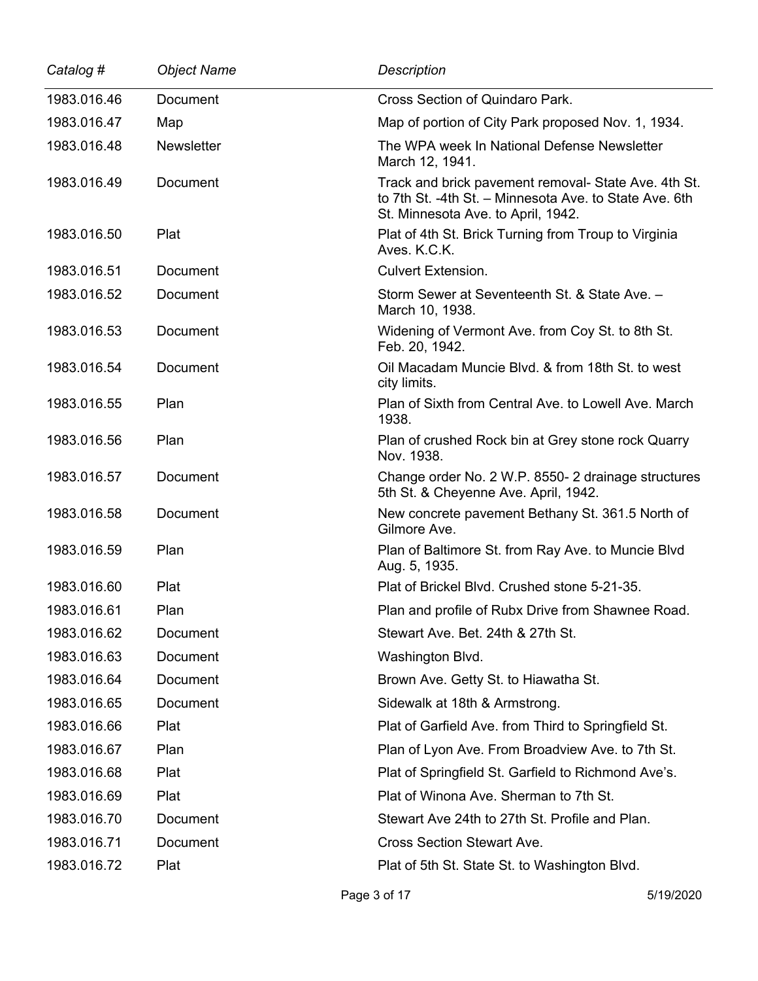| Catalog #   | <b>Object Name</b> | <b>Description</b>                                                                                                                                   |
|-------------|--------------------|------------------------------------------------------------------------------------------------------------------------------------------------------|
| 1983.016.46 | Document           | Cross Section of Quindaro Park.                                                                                                                      |
| 1983.016.47 | Map                | Map of portion of City Park proposed Nov. 1, 1934.                                                                                                   |
| 1983.016.48 | <b>Newsletter</b>  | The WPA week In National Defense Newsletter<br>March 12, 1941.                                                                                       |
| 1983.016.49 | Document           | Track and brick pavement removal- State Ave. 4th St.<br>to 7th St. -4th St. - Minnesota Ave. to State Ave. 6th<br>St. Minnesota Ave. to April, 1942. |
| 1983.016.50 | Plat               | Plat of 4th St. Brick Turning from Troup to Virginia<br>Aves. K.C.K.                                                                                 |
| 1983.016.51 | Document           | <b>Culvert Extension.</b>                                                                                                                            |
| 1983.016.52 | Document           | Storm Sewer at Seventeenth St. & State Ave. -<br>March 10, 1938.                                                                                     |
| 1983.016.53 | Document           | Widening of Vermont Ave. from Coy St. to 8th St.<br>Feb. 20, 1942.                                                                                   |
| 1983.016.54 | Document           | Oil Macadam Muncie Blvd. & from 18th St. to west<br>city limits.                                                                                     |
| 1983.016.55 | Plan               | Plan of Sixth from Central Ave, to Lowell Ave, March<br>1938.                                                                                        |
| 1983.016.56 | Plan               | Plan of crushed Rock bin at Grey stone rock Quarry<br>Nov. 1938.                                                                                     |
| 1983.016.57 | Document           | Change order No. 2 W.P. 8550-2 drainage structures<br>5th St. & Cheyenne Ave. April, 1942.                                                           |
| 1983.016.58 | Document           | New concrete pavement Bethany St. 361.5 North of<br>Gilmore Ave.                                                                                     |
| 1983.016.59 | Plan               | Plan of Baltimore St. from Ray Ave. to Muncie Blvd<br>Aug. 5, 1935.                                                                                  |
| 1983.016.60 | Plat               | Plat of Brickel Blvd. Crushed stone 5-21-35.                                                                                                         |
| 1983.016.61 | Plan               | Plan and profile of Rubx Drive from Shawnee Road.                                                                                                    |
| 1983.016.62 | Document           | Stewart Ave. Bet. 24th & 27th St.                                                                                                                    |
| 1983.016.63 | Document           | Washington Blvd.                                                                                                                                     |
| 1983.016.64 | Document           | Brown Ave. Getty St. to Hiawatha St.                                                                                                                 |
| 1983.016.65 | Document           | Sidewalk at 18th & Armstrong.                                                                                                                        |
| 1983.016.66 | Plat               | Plat of Garfield Ave. from Third to Springfield St.                                                                                                  |
| 1983.016.67 | Plan               | Plan of Lyon Ave. From Broadview Ave. to 7th St.                                                                                                     |
| 1983.016.68 | Plat               | Plat of Springfield St. Garfield to Richmond Ave's.                                                                                                  |
| 1983.016.69 | Plat               | Plat of Winona Ave. Sherman to 7th St.                                                                                                               |
| 1983.016.70 | Document           | Stewart Ave 24th to 27th St. Profile and Plan.                                                                                                       |
| 1983.016.71 | Document           | <b>Cross Section Stewart Ave.</b>                                                                                                                    |
| 1983.016.72 | Plat               | Plat of 5th St. State St. to Washington Blvd.                                                                                                        |
|             |                    |                                                                                                                                                      |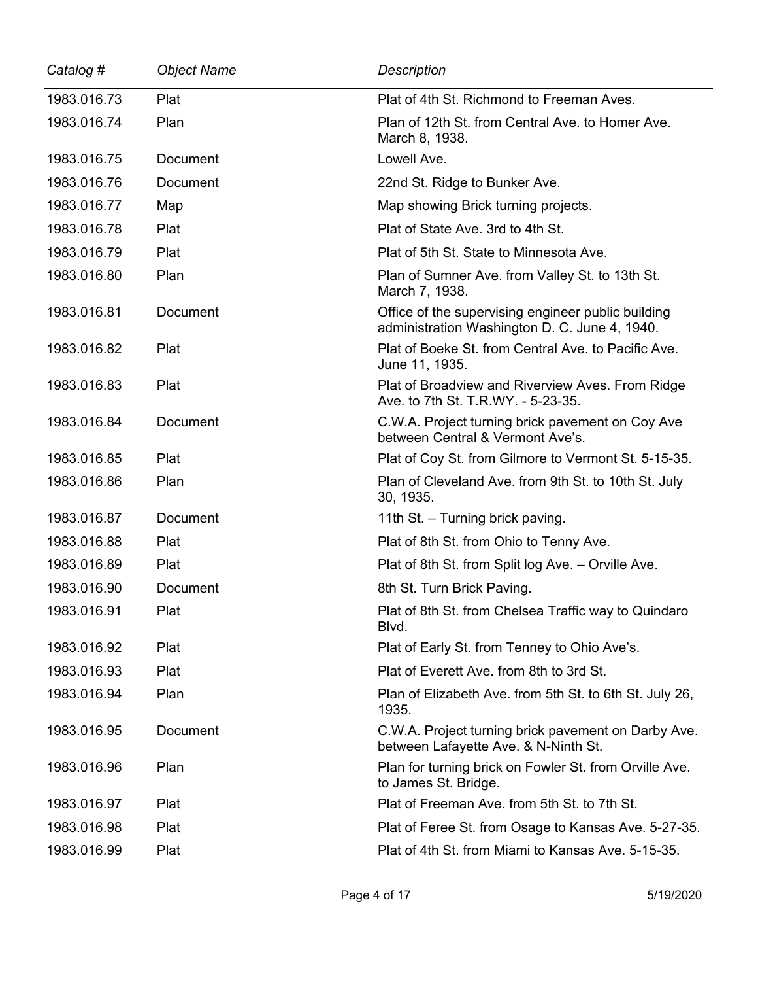| Catalog #   | <b>Object Name</b> | <b>Description</b>                                                                                  |
|-------------|--------------------|-----------------------------------------------------------------------------------------------------|
| 1983.016.73 | Plat               | Plat of 4th St. Richmond to Freeman Aves.                                                           |
| 1983.016.74 | Plan               | Plan of 12th St. from Central Ave. to Homer Ave.<br>March 8, 1938.                                  |
| 1983.016.75 | Document           | Lowell Ave.                                                                                         |
| 1983.016.76 | Document           | 22nd St. Ridge to Bunker Ave.                                                                       |
| 1983.016.77 | Map                | Map showing Brick turning projects.                                                                 |
| 1983.016.78 | Plat               | Plat of State Ave. 3rd to 4th St.                                                                   |
| 1983.016.79 | Plat               | Plat of 5th St. State to Minnesota Ave.                                                             |
| 1983.016.80 | Plan               | Plan of Sumner Ave. from Valley St. to 13th St.<br>March 7, 1938.                                   |
| 1983.016.81 | Document           | Office of the supervising engineer public building<br>administration Washington D. C. June 4, 1940. |
| 1983.016.82 | Plat               | Plat of Boeke St. from Central Ave. to Pacific Ave.<br>June 11, 1935.                               |
| 1983.016.83 | Plat               | Plat of Broadview and Riverview Aves. From Ridge<br>Ave. to 7th St. T.R.WY. - 5-23-35.              |
| 1983.016.84 | Document           | C.W.A. Project turning brick pavement on Coy Ave<br>between Central & Vermont Ave's.                |
| 1983.016.85 | Plat               | Plat of Coy St. from Gilmore to Vermont St. 5-15-35.                                                |
| 1983.016.86 | Plan               | Plan of Cleveland Ave. from 9th St. to 10th St. July<br>30, 1935.                                   |
| 1983.016.87 | Document           | 11th St. - Turning brick paving.                                                                    |
| 1983.016.88 | Plat               | Plat of 8th St. from Ohio to Tenny Ave.                                                             |
| 1983.016.89 | Plat               | Plat of 8th St. from Split log Ave. - Orville Ave.                                                  |
| 1983.016.90 | Document           | 8th St. Turn Brick Paving.                                                                          |
| 1983.016.91 | Plat               | Plat of 8th St. from Chelsea Traffic way to Quindaro<br>Blvd.                                       |
| 1983.016.92 | Plat               | Plat of Early St. from Tenney to Ohio Ave's.                                                        |
| 1983.016.93 | Plat               | Plat of Everett Ave, from 8th to 3rd St.                                                            |
| 1983.016.94 | Plan               | Plan of Elizabeth Ave. from 5th St. to 6th St. July 26,<br>1935.                                    |
| 1983.016.95 | Document           | C.W.A. Project turning brick pavement on Darby Ave.<br>between Lafayette Ave. & N-Ninth St.         |
| 1983.016.96 | Plan               | Plan for turning brick on Fowler St. from Orville Ave.<br>to James St. Bridge.                      |
| 1983.016.97 | Plat               | Plat of Freeman Ave. from 5th St. to 7th St.                                                        |
| 1983.016.98 | Plat               | Plat of Feree St. from Osage to Kansas Ave. 5-27-35.                                                |
| 1983.016.99 | Plat               | Plat of 4th St. from Miami to Kansas Ave, 5-15-35.                                                  |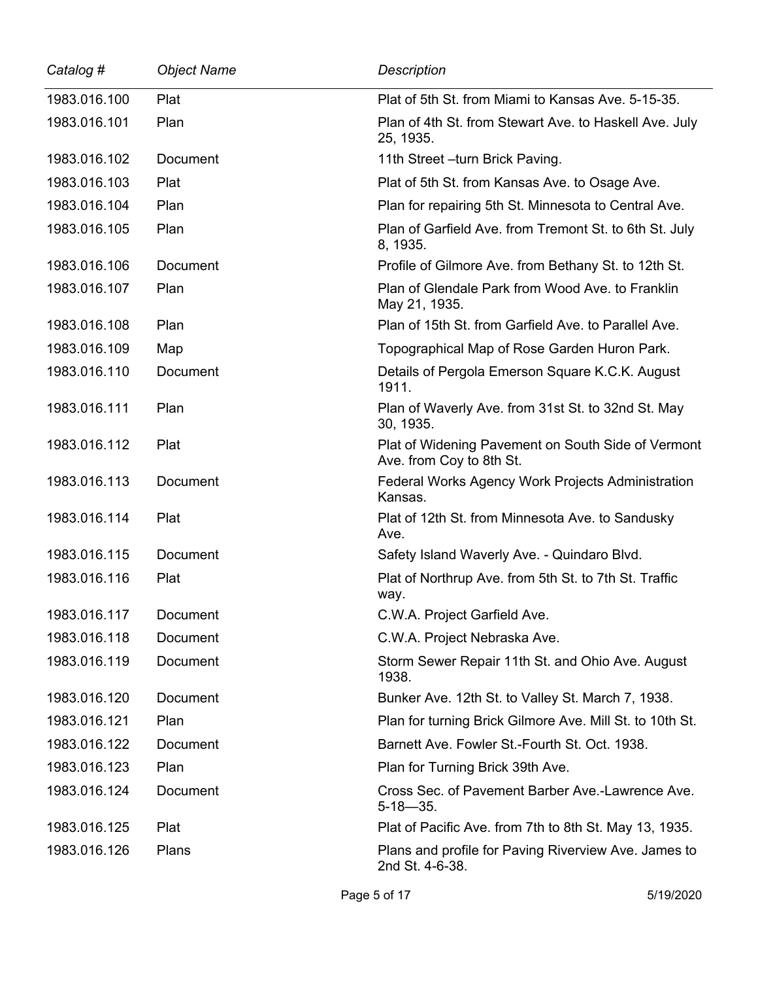| Catalog #    | <b>Object Name</b> | <b>Description</b>                                                             |
|--------------|--------------------|--------------------------------------------------------------------------------|
| 1983.016.100 | Plat               | Plat of 5th St. from Miami to Kansas Ave, 5-15-35.                             |
| 1983.016.101 | Plan               | Plan of 4th St. from Stewart Ave. to Haskell Ave. July<br>25, 1935.            |
| 1983.016.102 | Document           | 11th Street - turn Brick Paving.                                               |
| 1983.016.103 | Plat               | Plat of 5th St. from Kansas Ave. to Osage Ave.                                 |
| 1983.016.104 | Plan               | Plan for repairing 5th St. Minnesota to Central Ave.                           |
| 1983.016.105 | Plan               | Plan of Garfield Ave. from Tremont St. to 6th St. July<br>8, 1935.             |
| 1983.016.106 | Document           | Profile of Gilmore Ave. from Bethany St. to 12th St.                           |
| 1983.016.107 | Plan               | Plan of Glendale Park from Wood Ave. to Franklin<br>May 21, 1935.              |
| 1983.016.108 | Plan               | Plan of 15th St. from Garfield Ave. to Parallel Ave.                           |
| 1983.016.109 | Map                | Topographical Map of Rose Garden Huron Park.                                   |
| 1983.016.110 | Document           | Details of Pergola Emerson Square K.C.K. August<br>1911.                       |
| 1983.016.111 | Plan               | Plan of Waverly Ave. from 31st St. to 32nd St. May<br>30, 1935.                |
| 1983.016.112 | Plat               | Plat of Widening Pavement on South Side of Vermont<br>Ave. from Coy to 8th St. |
| 1983.016.113 | Document           | Federal Works Agency Work Projects Administration<br>Kansas.                   |
| 1983.016.114 | Plat               | Plat of 12th St. from Minnesota Ave. to Sandusky<br>Ave.                       |
| 1983.016.115 | <b>Document</b>    | Safety Island Waverly Ave. - Quindaro Blvd.                                    |
| 1983.016.116 | Plat               | Plat of Northrup Ave. from 5th St. to 7th St. Traffic<br>way.                  |
| 1983.016.117 | Document           | C.W.A. Project Garfield Ave.                                                   |
| 1983.016.118 | <b>Document</b>    | C.W.A. Project Nebraska Ave.                                                   |
| 1983.016.119 | Document           | Storm Sewer Repair 11th St. and Ohio Ave. August<br>1938.                      |
| 1983.016.120 | <b>Document</b>    | Bunker Ave. 12th St. to Valley St. March 7, 1938.                              |
| 1983.016.121 | Plan               | Plan for turning Brick Gilmore Ave. Mill St. to 10th St.                       |
| 1983.016.122 | Document           | Barnett Ave. Fowler St.-Fourth St. Oct. 1938.                                  |
| 1983.016.123 | Plan               | Plan for Turning Brick 39th Ave.                                               |
| 1983.016.124 | Document           | Cross Sec. of Pavement Barber Ave.-Lawrence Ave.<br>$5 - 18 - 35$ .            |
| 1983.016.125 | Plat               | Plat of Pacific Ave. from 7th to 8th St. May 13, 1935.                         |
| 1983.016.126 | Plans              | Plans and profile for Paving Riverview Ave. James to<br>2nd St. 4-6-38.        |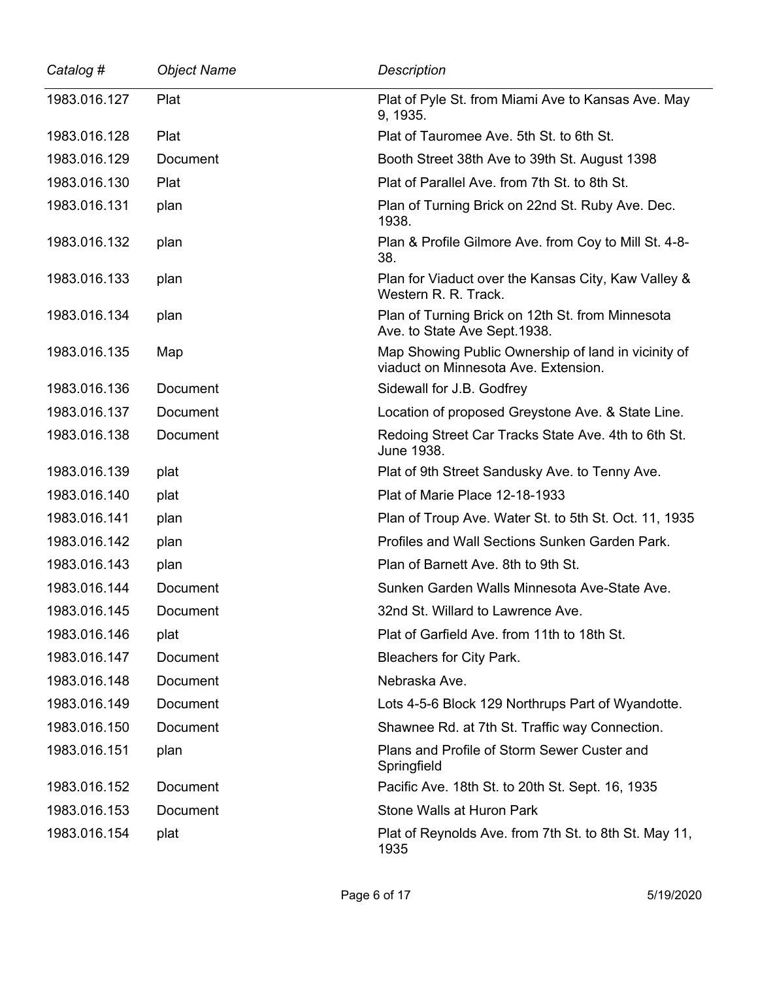| Catalog #    | <b>Object Name</b> | <b>Description</b>                                                                          |
|--------------|--------------------|---------------------------------------------------------------------------------------------|
| 1983.016.127 | Plat               | Plat of Pyle St. from Miami Ave to Kansas Ave. May<br>9, 1935.                              |
| 1983.016.128 | Plat               | Plat of Tauromee Ave. 5th St. to 6th St.                                                    |
| 1983.016.129 | Document           | Booth Street 38th Ave to 39th St. August 1398                                               |
| 1983.016.130 | Plat               | Plat of Parallel Ave. from 7th St. to 8th St.                                               |
| 1983.016.131 | plan               | Plan of Turning Brick on 22nd St. Ruby Ave. Dec.<br>1938.                                   |
| 1983.016.132 | plan               | Plan & Profile Gilmore Ave. from Coy to Mill St. 4-8-<br>38.                                |
| 1983.016.133 | plan               | Plan for Viaduct over the Kansas City, Kaw Valley &<br>Western R. R. Track.                 |
| 1983.016.134 | plan               | Plan of Turning Brick on 12th St. from Minnesota<br>Ave. to State Ave Sept. 1938.           |
| 1983.016.135 | Map                | Map Showing Public Ownership of land in vicinity of<br>viaduct on Minnesota Ave. Extension. |
| 1983.016.136 | Document           | Sidewall for J.B. Godfrey                                                                   |
| 1983.016.137 | Document           | Location of proposed Greystone Ave. & State Line.                                           |
| 1983.016.138 | Document           | Redoing Street Car Tracks State Ave. 4th to 6th St.<br>June 1938.                           |
| 1983.016.139 | plat               | Plat of 9th Street Sandusky Ave. to Tenny Ave.                                              |
| 1983.016.140 | plat               | Plat of Marie Place 12-18-1933                                                              |
| 1983.016.141 | plan               | Plan of Troup Ave. Water St. to 5th St. Oct. 11, 1935                                       |
| 1983.016.142 | plan               | Profiles and Wall Sections Sunken Garden Park.                                              |
| 1983.016.143 | plan               | Plan of Barnett Ave. 8th to 9th St.                                                         |
| 1983.016.144 | <b>Document</b>    | Sunken Garden Walls Minnesota Ave-State Ave.                                                |
| 1983.016.145 | Document           | 32nd St. Willard to Lawrence Ave.                                                           |
| 1983.016.146 | plat               | Plat of Garfield Ave. from 11th to 18th St.                                                 |
| 1983.016.147 | Document           | Bleachers for City Park.                                                                    |
| 1983.016.148 | Document           | Nebraska Ave.                                                                               |
| 1983.016.149 | Document           | Lots 4-5-6 Block 129 Northrups Part of Wyandotte.                                           |
| 1983.016.150 | Document           | Shawnee Rd. at 7th St. Traffic way Connection.                                              |
| 1983.016.151 | plan               | Plans and Profile of Storm Sewer Custer and<br>Springfield                                  |
| 1983.016.152 | Document           | Pacific Ave. 18th St. to 20th St. Sept. 16, 1935                                            |
| 1983.016.153 | Document           | Stone Walls at Huron Park                                                                   |
| 1983.016.154 | plat               | Plat of Reynolds Ave. from 7th St. to 8th St. May 11,<br>1935                               |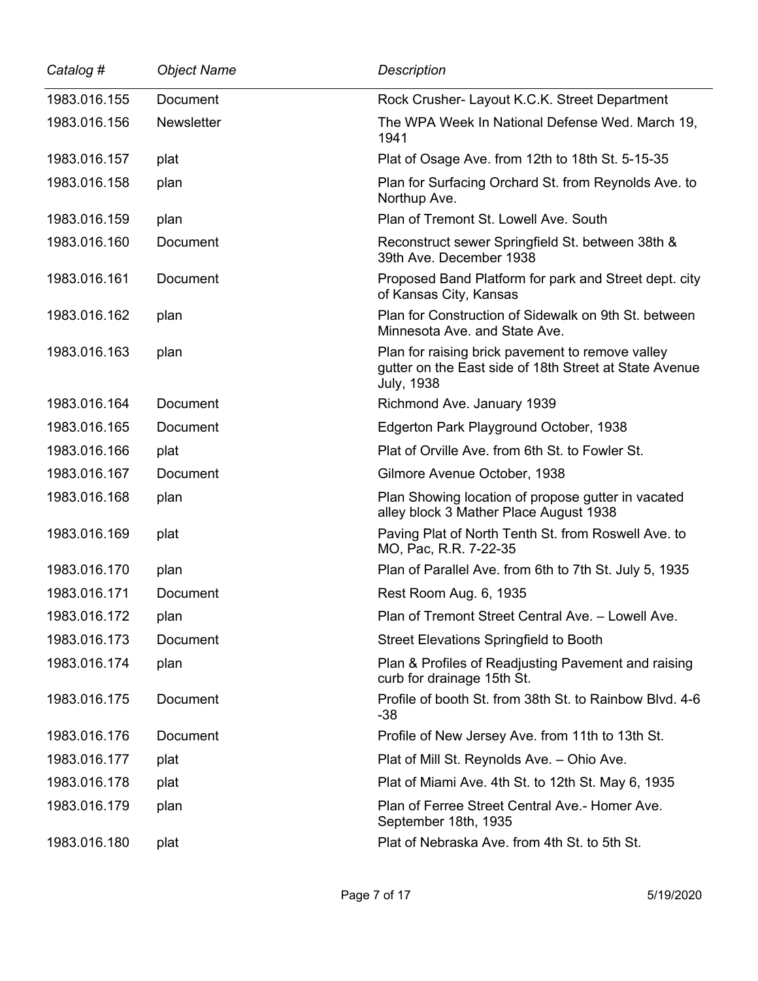| Catalog #    | <b>Object Name</b> | <b>Description</b>                                                                                                              |
|--------------|--------------------|---------------------------------------------------------------------------------------------------------------------------------|
| 1983.016.155 | Document           | Rock Crusher- Layout K.C.K. Street Department                                                                                   |
| 1983.016.156 | <b>Newsletter</b>  | The WPA Week In National Defense Wed. March 19,<br>1941                                                                         |
| 1983.016.157 | plat               | Plat of Osage Ave. from 12th to 18th St. 5-15-35                                                                                |
| 1983.016.158 | plan               | Plan for Surfacing Orchard St. from Reynolds Ave. to<br>Northup Ave.                                                            |
| 1983.016.159 | plan               | Plan of Tremont St. Lowell Ave. South                                                                                           |
| 1983.016.160 | <b>Document</b>    | Reconstruct sewer Springfield St. between 38th &<br>39th Ave. December 1938                                                     |
| 1983.016.161 | Document           | Proposed Band Platform for park and Street dept. city<br>of Kansas City, Kansas                                                 |
| 1983.016.162 | plan               | Plan for Construction of Sidewalk on 9th St. between<br>Minnesota Ave. and State Ave.                                           |
| 1983.016.163 | plan               | Plan for raising brick pavement to remove valley<br>gutter on the East side of 18th Street at State Avenue<br><b>July, 1938</b> |
| 1983.016.164 | <b>Document</b>    | Richmond Ave. January 1939                                                                                                      |
| 1983.016.165 | Document           | Edgerton Park Playground October, 1938                                                                                          |
| 1983.016.166 | plat               | Plat of Orville Ave. from 6th St. to Fowler St.                                                                                 |
| 1983.016.167 | Document           | Gilmore Avenue October, 1938                                                                                                    |
| 1983.016.168 | plan               | Plan Showing location of propose gutter in vacated<br>alley block 3 Mather Place August 1938                                    |
| 1983.016.169 | plat               | Paving Plat of North Tenth St. from Roswell Ave. to<br>MO, Pac, R.R. 7-22-35                                                    |
| 1983.016.170 | plan               | Plan of Parallel Ave. from 6th to 7th St. July 5, 1935                                                                          |
| 1983.016.171 | Document           | Rest Room Aug. 6, 1935                                                                                                          |
| 1983.016.172 | plan               | Plan of Tremont Street Central Ave. - Lowell Ave.                                                                               |
| 1983.016.173 | Document           | Street Elevations Springfield to Booth                                                                                          |
| 1983.016.174 | plan               | Plan & Profiles of Readjusting Pavement and raising<br>curb for drainage 15th St.                                               |
| 1983.016.175 | Document           | Profile of booth St. from 38th St. to Rainbow Blvd. 4-6<br>$-38$                                                                |
| 1983.016.176 | Document           | Profile of New Jersey Ave. from 11th to 13th St.                                                                                |
| 1983.016.177 | plat               | Plat of Mill St. Reynolds Ave. - Ohio Ave.                                                                                      |
| 1983.016.178 | plat               | Plat of Miami Ave. 4th St. to 12th St. May 6, 1935                                                                              |
| 1983.016.179 | plan               | Plan of Ferree Street Central Ave.- Homer Ave.<br>September 18th, 1935                                                          |
| 1983.016.180 | plat               | Plat of Nebraska Ave. from 4th St. to 5th St.                                                                                   |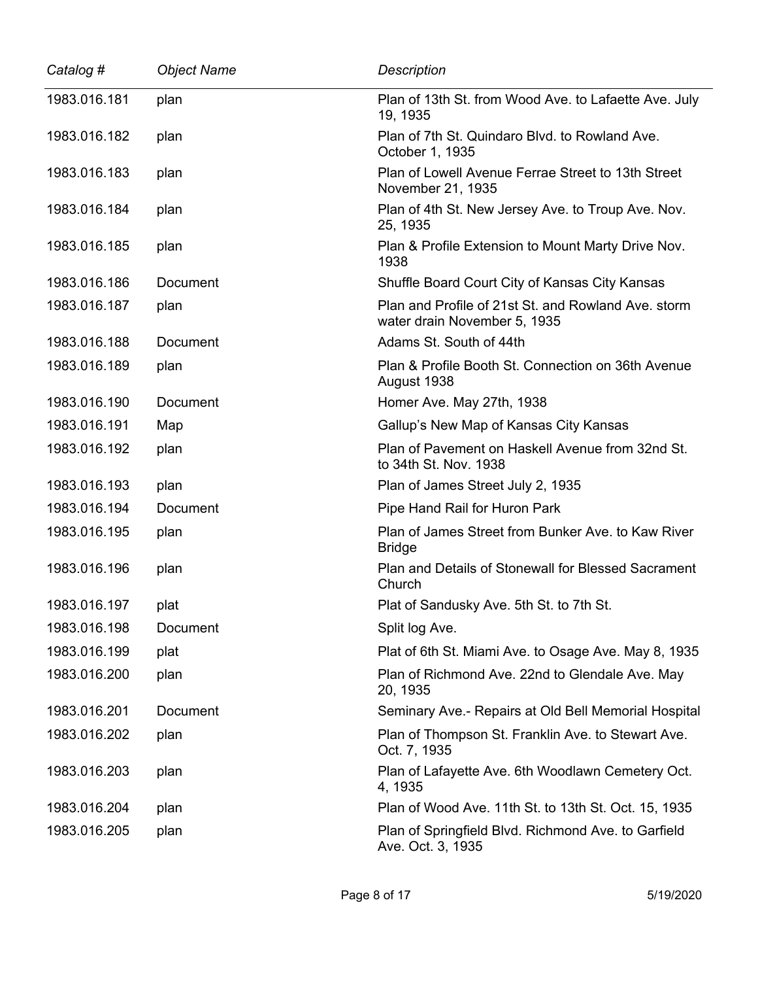| Catalog #    | <b>Object Name</b> | <b>Description</b>                                                                  |
|--------------|--------------------|-------------------------------------------------------------------------------------|
| 1983.016.181 | plan               | Plan of 13th St. from Wood Ave. to Lafaette Ave. July<br>19, 1935                   |
| 1983.016.182 | plan               | Plan of 7th St. Quindaro Blvd. to Rowland Ave.<br>October 1, 1935                   |
| 1983.016.183 | plan               | Plan of Lowell Avenue Ferrae Street to 13th Street<br>November 21, 1935             |
| 1983.016.184 | plan               | Plan of 4th St. New Jersey Ave. to Troup Ave. Nov.<br>25, 1935                      |
| 1983.016.185 | plan               | Plan & Profile Extension to Mount Marty Drive Nov.<br>1938                          |
| 1983.016.186 | Document           | Shuffle Board Court City of Kansas City Kansas                                      |
| 1983.016.187 | plan               | Plan and Profile of 21st St. and Rowland Ave. storm<br>water drain November 5, 1935 |
| 1983.016.188 | <b>Document</b>    | Adams St. South of 44th                                                             |
| 1983.016.189 | plan               | Plan & Profile Booth St. Connection on 36th Avenue<br>August 1938                   |
| 1983.016.190 | Document           | Homer Ave. May 27th, 1938                                                           |
| 1983.016.191 | Map                | Gallup's New Map of Kansas City Kansas                                              |
| 1983.016.192 | plan               | Plan of Pavement on Haskell Avenue from 32nd St.<br>to 34th St. Nov. 1938           |
| 1983.016.193 | plan               | Plan of James Street July 2, 1935                                                   |
| 1983.016.194 | Document           | Pipe Hand Rail for Huron Park                                                       |
| 1983.016.195 | plan               | Plan of James Street from Bunker Ave. to Kaw River<br><b>Bridge</b>                 |
| 1983.016.196 | plan               | Plan and Details of Stonewall for Blessed Sacrament<br>Church                       |
| 1983.016.197 | plat               | Plat of Sandusky Ave. 5th St. to 7th St.                                            |
| 1983.016.198 | Document           | Split log Ave.                                                                      |
| 1983.016.199 | plat               | Plat of 6th St. Miami Ave. to Osage Ave. May 8, 1935                                |
| 1983.016.200 | plan               | Plan of Richmond Ave. 22nd to Glendale Ave. May<br>20, 1935                         |
| 1983.016.201 | Document           | Seminary Ave.- Repairs at Old Bell Memorial Hospital                                |
| 1983.016.202 | plan               | Plan of Thompson St. Franklin Ave. to Stewart Ave.<br>Oct. 7, 1935                  |
| 1983.016.203 | plan               | Plan of Lafayette Ave. 6th Woodlawn Cemetery Oct.<br>4, 1935                        |
| 1983.016.204 | plan               | Plan of Wood Ave. 11th St. to 13th St. Oct. 15, 1935                                |
| 1983.016.205 | plan               | Plan of Springfield Blvd. Richmond Ave. to Garfield<br>Ave. Oct. 3, 1935            |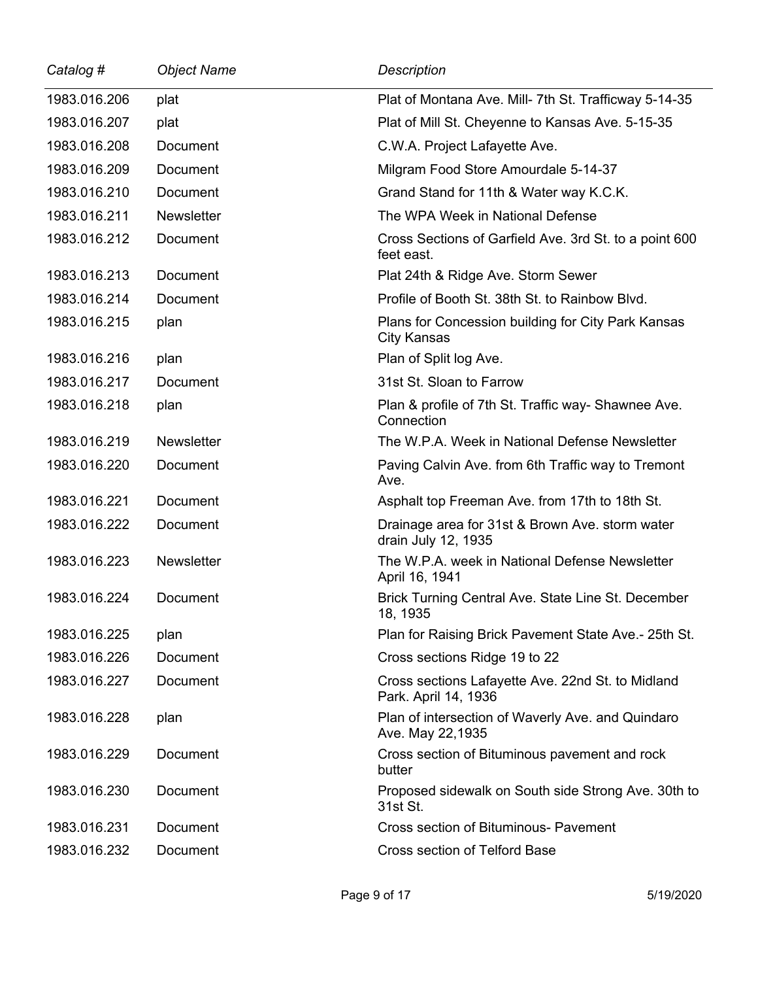| Catalog #    | <b>Object Name</b> | Description                                                               |
|--------------|--------------------|---------------------------------------------------------------------------|
| 1983.016.206 | plat               | Plat of Montana Ave. Mill- 7th St. Trafficway 5-14-35                     |
| 1983.016.207 | plat               | Plat of Mill St. Cheyenne to Kansas Ave. 5-15-35                          |
| 1983.016.208 | Document           | C.W.A. Project Lafayette Ave.                                             |
| 1983.016.209 | Document           | Milgram Food Store Amourdale 5-14-37                                      |
| 1983.016.210 | Document           | Grand Stand for 11th & Water way K.C.K.                                   |
| 1983.016.211 | <b>Newsletter</b>  | The WPA Week in National Defense                                          |
| 1983.016.212 | Document           | Cross Sections of Garfield Ave. 3rd St. to a point 600<br>feet east.      |
| 1983.016.213 | Document           | Plat 24th & Ridge Ave. Storm Sewer                                        |
| 1983.016.214 | Document           | Profile of Booth St. 38th St. to Rainbow Blvd.                            |
| 1983.016.215 | plan               | Plans for Concession building for City Park Kansas<br><b>City Kansas</b>  |
| 1983.016.216 | plan               | Plan of Split log Ave.                                                    |
| 1983.016.217 | Document           | 31st St. Sloan to Farrow                                                  |
| 1983.016.218 | plan               | Plan & profile of 7th St. Traffic way- Shawnee Ave.<br>Connection         |
| 1983.016.219 | <b>Newsletter</b>  | The W.P.A. Week in National Defense Newsletter                            |
| 1983.016.220 | Document           | Paving Calvin Ave. from 6th Traffic way to Tremont<br>Ave.                |
| 1983.016.221 | Document           | Asphalt top Freeman Ave. from 17th to 18th St.                            |
| 1983.016.222 | Document           | Drainage area for 31st & Brown Ave. storm water<br>drain July 12, 1935    |
| 1983.016.223 | <b>Newsletter</b>  | The W.P.A. week in National Defense Newsletter<br>April 16, 1941          |
| 1983.016.224 | Document           | Brick Turning Central Ave. State Line St. December<br>18, 1935            |
| 1983.016.225 | plan               | Plan for Raising Brick Pavement State Ave.- 25th St.                      |
| 1983.016.226 | Document           | Cross sections Ridge 19 to 22                                             |
| 1983.016.227 | Document           | Cross sections Lafayette Ave. 22nd St. to Midland<br>Park. April 14, 1936 |
| 1983.016.228 | plan               | Plan of intersection of Waverly Ave. and Quindaro<br>Ave. May 22,1935     |
| 1983.016.229 | Document           | Cross section of Bituminous pavement and rock<br>butter                   |
| 1983.016.230 | Document           | Proposed sidewalk on South side Strong Ave. 30th to<br>31st St.           |
| 1983.016.231 | Document           | Cross section of Bituminous- Pavement                                     |
| 1983.016.232 | Document           | Cross section of Telford Base                                             |

 $\overline{\phantom{0}}$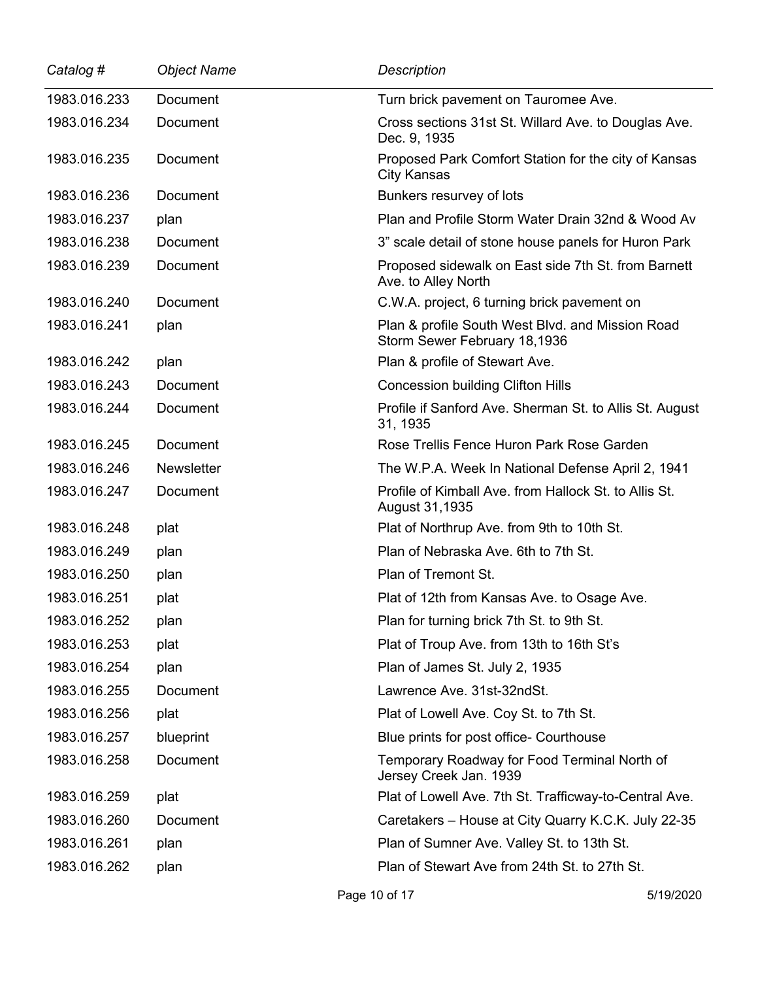| Catalog #    | <b>Object Name</b> | <b>Description</b>                                                               |
|--------------|--------------------|----------------------------------------------------------------------------------|
| 1983.016.233 | Document           | Turn brick pavement on Tauromee Ave.                                             |
| 1983.016.234 | Document           | Cross sections 31st St. Willard Ave. to Douglas Ave.<br>Dec. 9, 1935             |
| 1983.016.235 | Document           | Proposed Park Comfort Station for the city of Kansas<br><b>City Kansas</b>       |
| 1983.016.236 | Document           | Bunkers resurvey of lots                                                         |
| 1983.016.237 | plan               | Plan and Profile Storm Water Drain 32nd & Wood Av                                |
| 1983.016.238 | Document           | 3" scale detail of stone house panels for Huron Park                             |
| 1983.016.239 | Document           | Proposed sidewalk on East side 7th St. from Barnett<br>Ave. to Alley North       |
| 1983.016.240 | Document           | C.W.A. project, 6 turning brick pavement on                                      |
| 1983.016.241 | plan               | Plan & profile South West Blvd. and Mission Road<br>Storm Sewer February 18,1936 |
| 1983.016.242 | plan               | Plan & profile of Stewart Ave.                                                   |
| 1983.016.243 | Document           | <b>Concession building Clifton Hills</b>                                         |
| 1983.016.244 | Document           | Profile if Sanford Ave. Sherman St. to Allis St. August<br>31, 1935              |
| 1983.016.245 | Document           | Rose Trellis Fence Huron Park Rose Garden                                        |
| 1983.016.246 | <b>Newsletter</b>  | The W.P.A. Week In National Defense April 2, 1941                                |
| 1983.016.247 | Document           | Profile of Kimball Ave. from Hallock St. to Allis St.<br>August 31,1935          |
| 1983.016.248 | plat               | Plat of Northrup Ave. from 9th to 10th St.                                       |
| 1983.016.249 | plan               | Plan of Nebraska Ave. 6th to 7th St.                                             |
| 1983.016.250 | plan               | Plan of Tremont St.                                                              |
| 1983.016.251 | plat               | Plat of 12th from Kansas Ave. to Osage Ave.                                      |
| 1983.016.252 | plan               | Plan for turning brick 7th St. to 9th St.                                        |
| 1983.016.253 | plat               | Plat of Troup Ave. from 13th to 16th St's                                        |
| 1983.016.254 | plan               | Plan of James St. July 2, 1935                                                   |
| 1983.016.255 | Document           | Lawrence Ave. 31st-32ndSt.                                                       |
| 1983.016.256 | plat               | Plat of Lowell Ave. Coy St. to 7th St.                                           |
| 1983.016.257 | blueprint          | Blue prints for post office- Courthouse                                          |
| 1983.016.258 | Document           | Temporary Roadway for Food Terminal North of<br>Jersey Creek Jan. 1939           |
| 1983.016.259 | plat               | Plat of Lowell Ave. 7th St. Trafficway-to-Central Ave.                           |
| 1983.016.260 | Document           | Caretakers - House at City Quarry K.C.K. July 22-35                              |
| 1983.016.261 | plan               | Plan of Sumner Ave. Valley St. to 13th St.                                       |
| 1983.016.262 | plan               | Plan of Stewart Ave from 24th St. to 27th St.                                    |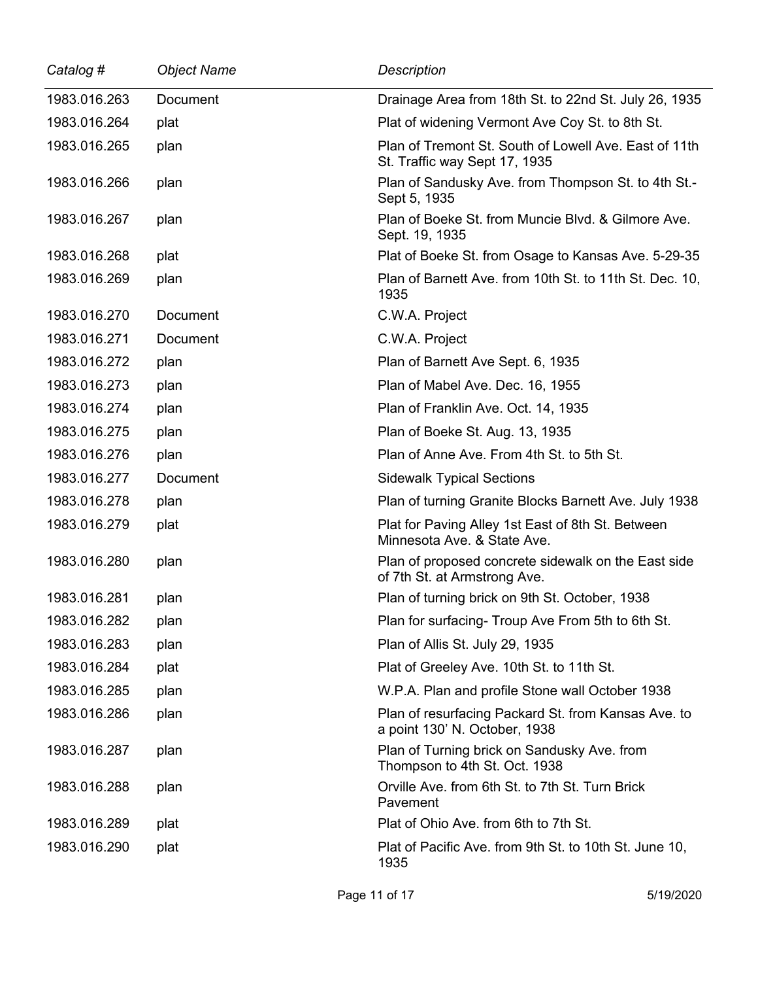| Catalog #    | <b>Object Name</b> | <b>Description</b>                                                                     |
|--------------|--------------------|----------------------------------------------------------------------------------------|
| 1983.016.263 | Document           | Drainage Area from 18th St. to 22nd St. July 26, 1935                                  |
| 1983.016.264 | plat               | Plat of widening Vermont Ave Coy St. to 8th St.                                        |
| 1983.016.265 | plan               | Plan of Tremont St. South of Lowell Ave. East of 11th<br>St. Traffic way Sept 17, 1935 |
| 1983.016.266 | plan               | Plan of Sandusky Ave. from Thompson St. to 4th St.-<br>Sept 5, 1935                    |
| 1983.016.267 | plan               | Plan of Boeke St. from Muncie Blvd. & Gilmore Ave.<br>Sept. 19, 1935                   |
| 1983.016.268 | plat               | Plat of Boeke St. from Osage to Kansas Ave. 5-29-35                                    |
| 1983.016.269 | plan               | Plan of Barnett Ave. from 10th St. to 11th St. Dec. 10,<br>1935                        |
| 1983.016.270 | Document           | C.W.A. Project                                                                         |
| 1983.016.271 | Document           | C.W.A. Project                                                                         |
| 1983.016.272 | plan               | Plan of Barnett Ave Sept. 6, 1935                                                      |
| 1983.016.273 | plan               | Plan of Mabel Ave. Dec. 16, 1955                                                       |
| 1983.016.274 | plan               | Plan of Franklin Ave. Oct. 14, 1935                                                    |
| 1983.016.275 | plan               | Plan of Boeke St. Aug. 13, 1935                                                        |
| 1983.016.276 | plan               | Plan of Anne Ave. From 4th St. to 5th St.                                              |
| 1983.016.277 | Document           | <b>Sidewalk Typical Sections</b>                                                       |
| 1983.016.278 | plan               | Plan of turning Granite Blocks Barnett Ave. July 1938                                  |
| 1983.016.279 | plat               | Plat for Paving Alley 1st East of 8th St. Between<br>Minnesota Ave. & State Ave.       |
| 1983.016.280 | plan               | Plan of proposed concrete sidewalk on the East side<br>of 7th St. at Armstrong Ave.    |
| 1983.016.281 | plan               | Plan of turning brick on 9th St. October, 1938                                         |
| 1983.016.282 | plan               | Plan for surfacing- Troup Ave From 5th to 6th St.                                      |
| 1983.016.283 | plan               | Plan of Allis St. July 29, 1935                                                        |
| 1983.016.284 | plat               | Plat of Greeley Ave. 10th St. to 11th St.                                              |
| 1983.016.285 | plan               | W.P.A. Plan and profile Stone wall October 1938                                        |
| 1983.016.286 | plan               | Plan of resurfacing Packard St. from Kansas Ave. to<br>a point 130' N. October, 1938   |
| 1983.016.287 | plan               | Plan of Turning brick on Sandusky Ave. from<br>Thompson to 4th St. Oct. 1938           |
| 1983.016.288 | plan               | Orville Ave. from 6th St. to 7th St. Turn Brick<br>Pavement                            |
| 1983.016.289 | plat               | Plat of Ohio Ave. from 6th to 7th St.                                                  |
| 1983.016.290 | plat               | Plat of Pacific Ave. from 9th St. to 10th St. June 10,<br>1935                         |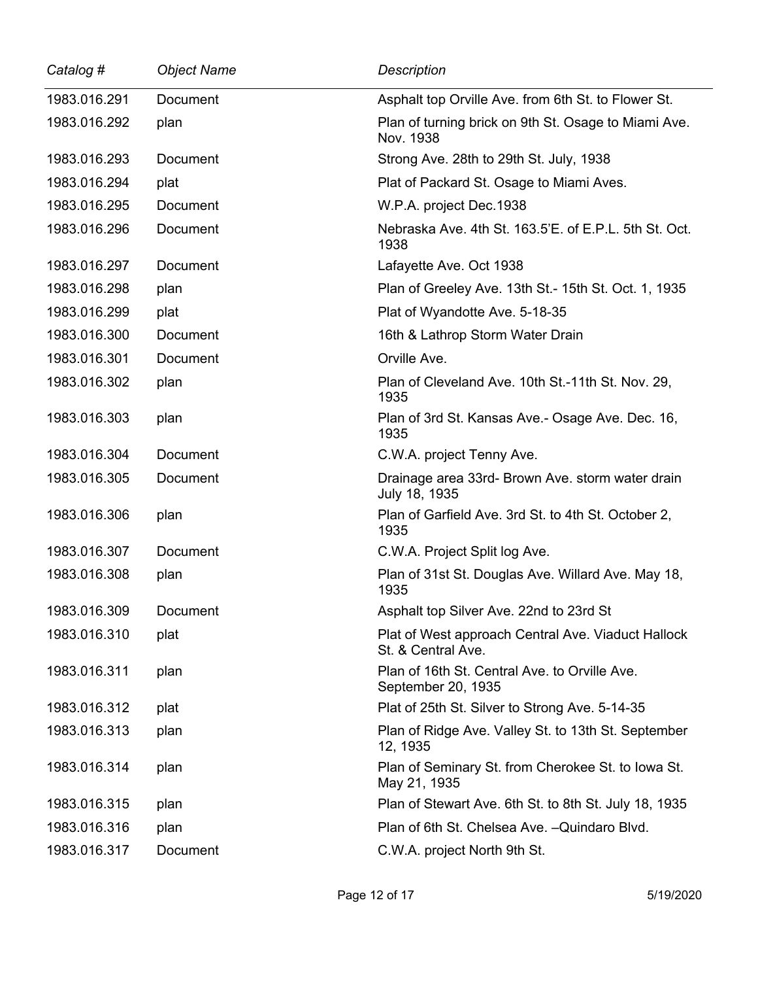| Catalog #    | <b>Object Name</b> | <b>Description</b>                                                       |
|--------------|--------------------|--------------------------------------------------------------------------|
| 1983.016.291 | Document           | Asphalt top Orville Ave. from 6th St. to Flower St.                      |
| 1983.016.292 | plan               | Plan of turning brick on 9th St. Osage to Miami Ave.<br>Nov. 1938        |
| 1983.016.293 | Document           | Strong Ave. 28th to 29th St. July, 1938                                  |
| 1983.016.294 | plat               | Plat of Packard St. Osage to Miami Aves.                                 |
| 1983.016.295 | Document           | W.P.A. project Dec.1938                                                  |
| 1983.016.296 | Document           | Nebraska Ave. 4th St. 163.5'E. of E.P.L. 5th St. Oct.<br>1938            |
| 1983.016.297 | Document           | Lafayette Ave. Oct 1938                                                  |
| 1983.016.298 | plan               | Plan of Greeley Ave. 13th St.-15th St. Oct. 1, 1935                      |
| 1983.016.299 | plat               | Plat of Wyandotte Ave. 5-18-35                                           |
| 1983.016.300 | Document           | 16th & Lathrop Storm Water Drain                                         |
| 1983.016.301 | Document           | Orville Ave.                                                             |
| 1983.016.302 | plan               | Plan of Cleveland Ave. 10th St.-11th St. Nov. 29,<br>1935                |
| 1983.016.303 | plan               | Plan of 3rd St. Kansas Ave.- Osage Ave. Dec. 16,<br>1935                 |
| 1983.016.304 | Document           | C.W.A. project Tenny Ave.                                                |
| 1983.016.305 | Document           | Drainage area 33rd- Brown Ave. storm water drain<br>July 18, 1935        |
| 1983.016.306 | plan               | Plan of Garfield Ave. 3rd St. to 4th St. October 2,<br>1935              |
| 1983.016.307 | Document           | C.W.A. Project Split log Ave.                                            |
| 1983.016.308 | plan               | Plan of 31st St. Douglas Ave. Willard Ave. May 18,<br>1935               |
| 1983.016.309 | Document           | Asphalt top Silver Ave. 22nd to 23rd St                                  |
| 1983.016.310 | plat               | Plat of West approach Central Ave. Viaduct Hallock<br>St. & Central Ave. |
| 1983.016.311 | plan               | Plan of 16th St. Central Ave. to Orville Ave.<br>September 20, 1935      |
| 1983.016.312 | plat               | Plat of 25th St. Silver to Strong Ave. 5-14-35                           |
| 1983.016.313 | plan               | Plan of Ridge Ave. Valley St. to 13th St. September<br>12, 1935          |
| 1983.016.314 | plan               | Plan of Seminary St. from Cherokee St. to Iowa St.<br>May 21, 1935       |
| 1983.016.315 | plan               | Plan of Stewart Ave. 6th St. to 8th St. July 18, 1935                    |
| 1983.016.316 | plan               | Plan of 6th St. Chelsea Ave. - Quindaro Blvd.                            |
| 1983.016.317 | Document           | C.W.A. project North 9th St.                                             |

 $\overline{\phantom{0}}$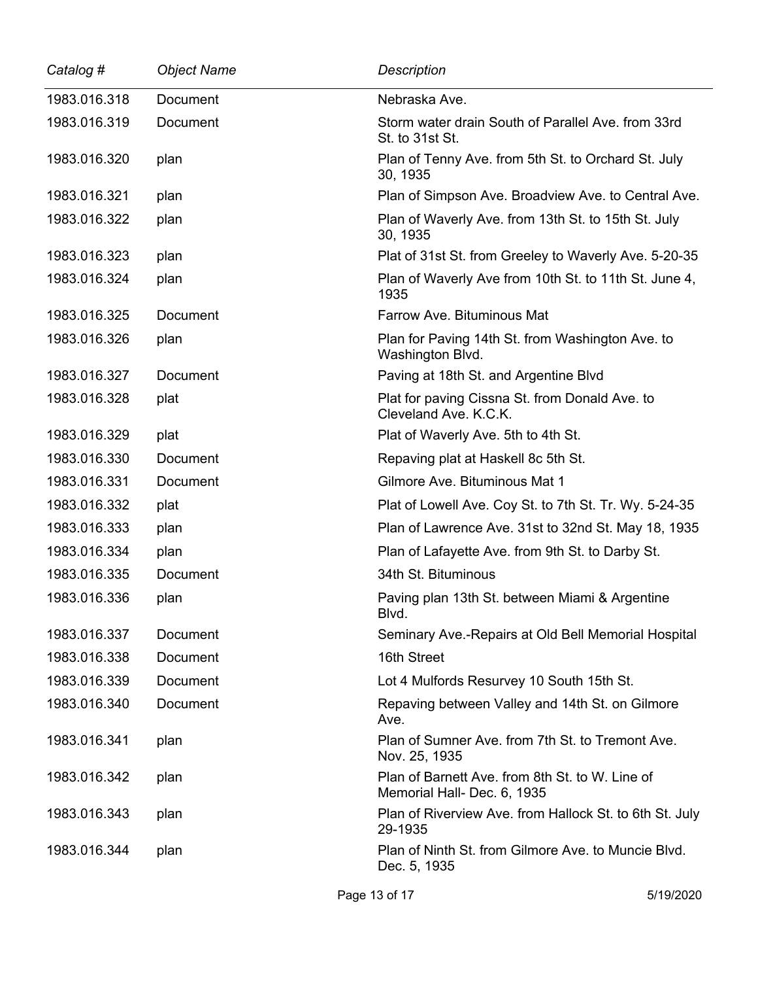| Catalog #    | <b>Object Name</b> | <b>Description</b>                                                             |
|--------------|--------------------|--------------------------------------------------------------------------------|
| 1983.016.318 | Document           | Nebraska Ave.                                                                  |
| 1983.016.319 | Document           | Storm water drain South of Parallel Ave. from 33rd<br>St. to 31st St.          |
| 1983.016.320 | plan               | Plan of Tenny Ave. from 5th St. to Orchard St. July<br>30, 1935                |
| 1983.016.321 | plan               | Plan of Simpson Ave. Broadview Ave. to Central Ave.                            |
| 1983.016.322 | plan               | Plan of Waverly Ave. from 13th St. to 15th St. July<br>30, 1935                |
| 1983.016.323 | plan               | Plat of 31st St. from Greeley to Waverly Ave. 5-20-35                          |
| 1983.016.324 | plan               | Plan of Waverly Ave from 10th St. to 11th St. June 4,<br>1935                  |
| 1983.016.325 | Document           | Farrow Ave. Bituminous Mat                                                     |
| 1983.016.326 | plan               | Plan for Paving 14th St. from Washington Ave. to<br>Washington Blvd.           |
| 1983.016.327 | Document           | Paving at 18th St. and Argentine Blvd                                          |
| 1983.016.328 | plat               | Plat for paving Cissna St. from Donald Ave. to<br>Cleveland Ave. K.C.K.        |
| 1983.016.329 | plat               | Plat of Waverly Ave. 5th to 4th St.                                            |
| 1983.016.330 | Document           | Repaving plat at Haskell 8c 5th St.                                            |
| 1983.016.331 | Document           | Gilmore Ave. Bituminous Mat 1                                                  |
| 1983.016.332 | plat               | Plat of Lowell Ave. Coy St. to 7th St. Tr. Wy. 5-24-35                         |
| 1983.016.333 | plan               | Plan of Lawrence Ave. 31st to 32nd St. May 18, 1935                            |
| 1983.016.334 | plan               | Plan of Lafayette Ave. from 9th St. to Darby St.                               |
| 1983.016.335 | Document           | 34th St. Bituminous                                                            |
| 1983.016.336 | plan               | Paving plan 13th St. between Miami & Argentine<br>Blvd.                        |
| 1983.016.337 | Document           | Seminary Ave.-Repairs at Old Bell Memorial Hospital                            |
| 1983.016.338 | Document           | 16th Street                                                                    |
| 1983.016.339 | Document           | Lot 4 Mulfords Resurvey 10 South 15th St.                                      |
| 1983.016.340 | Document           | Repaving between Valley and 14th St. on Gilmore<br>Ave.                        |
| 1983.016.341 | plan               | Plan of Sumner Ave. from 7th St. to Tremont Ave.<br>Nov. 25, 1935              |
| 1983.016.342 | plan               | Plan of Barnett Ave. from 8th St. to W. Line of<br>Memorial Hall- Dec. 6, 1935 |
| 1983.016.343 | plan               | Plan of Riverview Ave. from Hallock St. to 6th St. July<br>29-1935             |
| 1983.016.344 | plan               | Plan of Ninth St. from Gilmore Ave. to Muncie Blvd.<br>Dec. 5, 1935            |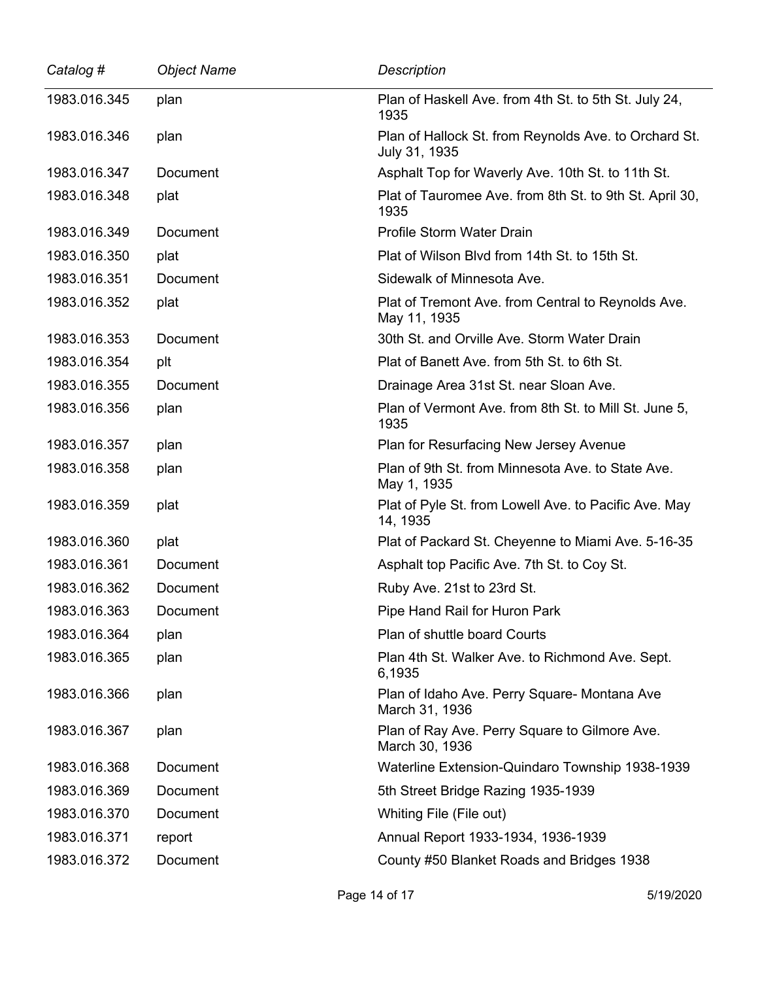| Catalog #    | <b>Object Name</b> | <b>Description</b>                                                     |
|--------------|--------------------|------------------------------------------------------------------------|
| 1983.016.345 | plan               | Plan of Haskell Ave. from 4th St. to 5th St. July 24,<br>1935          |
| 1983.016.346 | plan               | Plan of Hallock St. from Reynolds Ave. to Orchard St.<br>July 31, 1935 |
| 1983.016.347 | Document           | Asphalt Top for Waverly Ave. 10th St. to 11th St.                      |
| 1983.016.348 | plat               | Plat of Tauromee Ave. from 8th St. to 9th St. April 30,<br>1935        |
| 1983.016.349 | Document           | Profile Storm Water Drain                                              |
| 1983.016.350 | plat               | Plat of Wilson Blvd from 14th St. to 15th St.                          |
| 1983.016.351 | Document           | Sidewalk of Minnesota Ave.                                             |
| 1983.016.352 | plat               | Plat of Tremont Ave. from Central to Reynolds Ave.<br>May 11, 1935     |
| 1983.016.353 | Document           | 30th St. and Orville Ave. Storm Water Drain                            |
| 1983.016.354 | plt                | Plat of Banett Ave. from 5th St. to 6th St.                            |
| 1983.016.355 | <b>Document</b>    | Drainage Area 31st St. near Sloan Ave.                                 |
| 1983.016.356 | plan               | Plan of Vermont Ave. from 8th St. to Mill St. June 5,<br>1935          |
| 1983.016.357 | plan               | Plan for Resurfacing New Jersey Avenue                                 |
| 1983.016.358 | plan               | Plan of 9th St. from Minnesota Ave. to State Ave.<br>May 1, 1935       |
| 1983.016.359 | plat               | Plat of Pyle St. from Lowell Ave. to Pacific Ave. May<br>14, 1935      |
| 1983.016.360 | plat               | Plat of Packard St. Cheyenne to Miami Ave. 5-16-35                     |
| 1983.016.361 | Document           | Asphalt top Pacific Ave. 7th St. to Coy St.                            |
| 1983.016.362 | Document           | Ruby Ave. 21st to 23rd St.                                             |
| 1983.016.363 | Document           | Pipe Hand Rail for Huron Park                                          |
| 1983.016.364 | plan               | Plan of shuttle board Courts                                           |
| 1983.016.365 | plan               | Plan 4th St. Walker Ave. to Richmond Ave. Sept.<br>6,1935              |
| 1983.016.366 | plan               | Plan of Idaho Ave. Perry Square- Montana Ave<br>March 31, 1936         |
| 1983.016.367 | plan               | Plan of Ray Ave. Perry Square to Gilmore Ave.<br>March 30, 1936        |
| 1983.016.368 | Document           | Waterline Extension-Quindaro Township 1938-1939                        |
| 1983.016.369 | Document           | 5th Street Bridge Razing 1935-1939                                     |
| 1983.016.370 | Document           | Whiting File (File out)                                                |
| 1983.016.371 | report             | Annual Report 1933-1934, 1936-1939                                     |
| 1983.016.372 | Document           | County #50 Blanket Roads and Bridges 1938                              |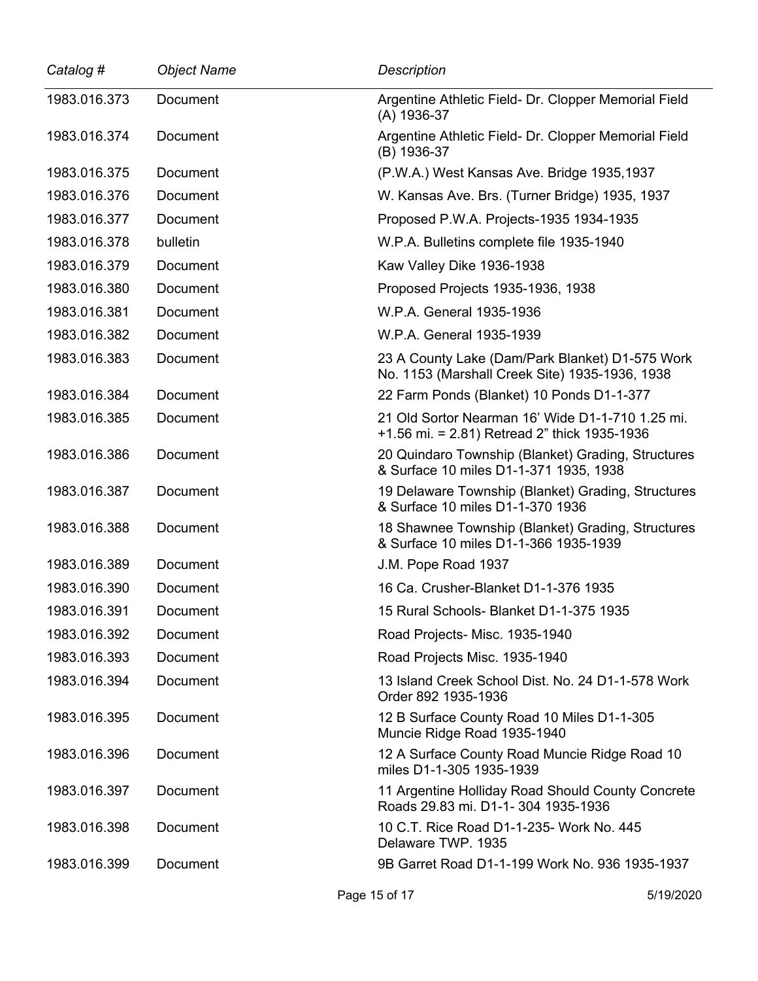| Catalog #    | <b>Object Name</b> | <b>Description</b>                                                                                 |
|--------------|--------------------|----------------------------------------------------------------------------------------------------|
| 1983.016.373 | Document           | Argentine Athletic Field- Dr. Clopper Memorial Field<br>(A) 1936-37                                |
| 1983.016.374 | <b>Document</b>    | Argentine Athletic Field- Dr. Clopper Memorial Field<br>(B) 1936-37                                |
| 1983.016.375 | Document           | (P.W.A.) West Kansas Ave. Bridge 1935, 1937                                                        |
| 1983.016.376 | Document           | W. Kansas Ave. Brs. (Turner Bridge) 1935, 1937                                                     |
| 1983.016.377 | Document           | Proposed P.W.A. Projects-1935 1934-1935                                                            |
| 1983.016.378 | bulletin           | W.P.A. Bulletins complete file 1935-1940                                                           |
| 1983.016.379 | Document           | Kaw Valley Dike 1936-1938                                                                          |
| 1983.016.380 | Document           | Proposed Projects 1935-1936, 1938                                                                  |
| 1983.016.381 | <b>Document</b>    | W.P.A. General 1935-1936                                                                           |
| 1983.016.382 | Document           | W.P.A. General 1935-1939                                                                           |
| 1983.016.383 | Document           | 23 A County Lake (Dam/Park Blanket) D1-575 Work<br>No. 1153 (Marshall Creek Site) 1935-1936, 1938  |
| 1983.016.384 | Document           | 22 Farm Ponds (Blanket) 10 Ponds D1-1-377                                                          |
| 1983.016.385 | Document           | 21 Old Sortor Nearman 16' Wide D1-1-710 1.25 mi.<br>$+1.56$ mi. = 2.81) Retread 2" thick 1935-1936 |
| 1983.016.386 | Document           | 20 Quindaro Township (Blanket) Grading, Structures<br>& Surface 10 miles D1-1-371 1935, 1938       |
| 1983.016.387 | Document           | 19 Delaware Township (Blanket) Grading, Structures<br>& Surface 10 miles D1-1-370 1936             |
| 1983.016.388 | Document           | 18 Shawnee Township (Blanket) Grading, Structures<br>& Surface 10 miles D1-1-366 1935-1939         |
| 1983.016.389 | <b>Document</b>    | J.M. Pope Road 1937                                                                                |
| 1983.016.390 | Document           | 16 Ca. Crusher-Blanket D1-1-376 1935                                                               |
| 1983.016.391 | Document           | 15 Rural Schools- Blanket D1-1-375 1935                                                            |
| 1983.016.392 | Document           | Road Projects- Misc. 1935-1940                                                                     |
| 1983.016.393 | Document           | Road Projects Misc. 1935-1940                                                                      |
| 1983.016.394 | Document           | 13 Island Creek School Dist. No. 24 D1-1-578 Work<br>Order 892 1935-1936                           |
| 1983.016.395 | Document           | 12 B Surface County Road 10 Miles D1-1-305<br>Muncie Ridge Road 1935-1940                          |
| 1983.016.396 | Document           | 12 A Surface County Road Muncie Ridge Road 10<br>miles D1-1-305 1935-1939                          |
| 1983.016.397 | Document           | 11 Argentine Holliday Road Should County Concrete<br>Roads 29.83 mi. D1-1- 304 1935-1936           |
| 1983.016.398 | Document           | 10 C.T. Rice Road D1-1-235- Work No. 445<br>Delaware TWP. 1935                                     |
| 1983.016.399 | Document           | 9B Garret Road D1-1-199 Work No. 936 1935-1937                                                     |

 $\overline{\phantom{0}}$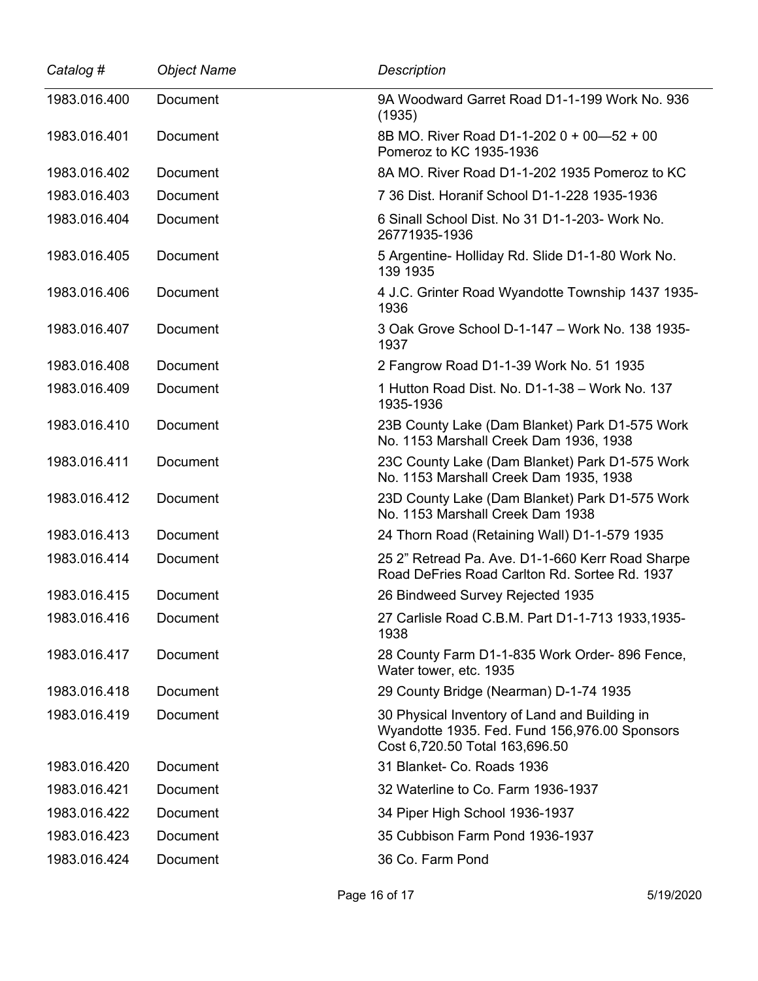| Catalog #    | <b>Object Name</b> | <b>Description</b>                                                                                                               |
|--------------|--------------------|----------------------------------------------------------------------------------------------------------------------------------|
| 1983.016.400 | Document           | 9A Woodward Garret Road D1-1-199 Work No. 936<br>(1935)                                                                          |
| 1983.016.401 | <b>Document</b>    | 8B MO. River Road D1-1-202 0 + 00-52 + 00<br>Pomeroz to KC 1935-1936                                                             |
| 1983.016.402 | Document           | 8A MO. River Road D1-1-202 1935 Pomeroz to KC                                                                                    |
| 1983.016.403 | Document           | 7 36 Dist. Horanif School D1-1-228 1935-1936                                                                                     |
| 1983.016.404 | Document           | 6 Sinall School Dist. No 31 D1-1-203- Work No.<br>26771935-1936                                                                  |
| 1983.016.405 | Document           | 5 Argentine- Holliday Rd. Slide D1-1-80 Work No.<br>139 1935                                                                     |
| 1983.016.406 | Document           | 4 J.C. Grinter Road Wyandotte Township 1437 1935-<br>1936                                                                        |
| 1983.016.407 | Document           | 3 Oak Grove School D-1-147 - Work No. 138 1935-<br>1937                                                                          |
| 1983.016.408 | Document           | 2 Fangrow Road D1-1-39 Work No. 51 1935                                                                                          |
| 1983.016.409 | Document           | 1 Hutton Road Dist. No. D1-1-38 - Work No. 137<br>1935-1936                                                                      |
| 1983.016.410 | Document           | 23B County Lake (Dam Blanket) Park D1-575 Work<br>No. 1153 Marshall Creek Dam 1936, 1938                                         |
| 1983.016.411 | Document           | 23C County Lake (Dam Blanket) Park D1-575 Work<br>No. 1153 Marshall Creek Dam 1935, 1938                                         |
| 1983.016.412 | Document           | 23D County Lake (Dam Blanket) Park D1-575 Work<br>No. 1153 Marshall Creek Dam 1938                                               |
| 1983.016.413 | Document           | 24 Thorn Road (Retaining Wall) D1-1-579 1935                                                                                     |
| 1983.016.414 | Document           | 25 2" Retread Pa. Ave. D1-1-660 Kerr Road Sharpe<br>Road DeFries Road Carlton Rd. Sortee Rd. 1937                                |
| 1983.016.415 | Document           | 26 Bindweed Survey Rejected 1935                                                                                                 |
| 1983.016.416 | Document           | 27 Carlisle Road C.B.M. Part D1-1-713 1933,1935-<br>1938                                                                         |
| 1983.016.417 | <b>Document</b>    | 28 County Farm D1-1-835 Work Order-896 Fence,<br>Water tower, etc. 1935                                                          |
| 1983.016.418 | <b>Document</b>    | 29 County Bridge (Nearman) D-1-74 1935                                                                                           |
| 1983.016.419 | Document           | 30 Physical Inventory of Land and Building in<br>Wyandotte 1935. Fed. Fund 156,976.00 Sponsors<br>Cost 6,720.50 Total 163,696.50 |
| 1983.016.420 | <b>Document</b>    | 31 Blanket- Co. Roads 1936                                                                                                       |
| 1983.016.421 | Document           | 32 Waterline to Co. Farm 1936-1937                                                                                               |
| 1983.016.422 | Document           | 34 Piper High School 1936-1937                                                                                                   |
| 1983.016.423 | Document           | 35 Cubbison Farm Pond 1936-1937                                                                                                  |
| 1983.016.424 | Document           | 36 Co. Farm Pond                                                                                                                 |

 $\overline{a}$